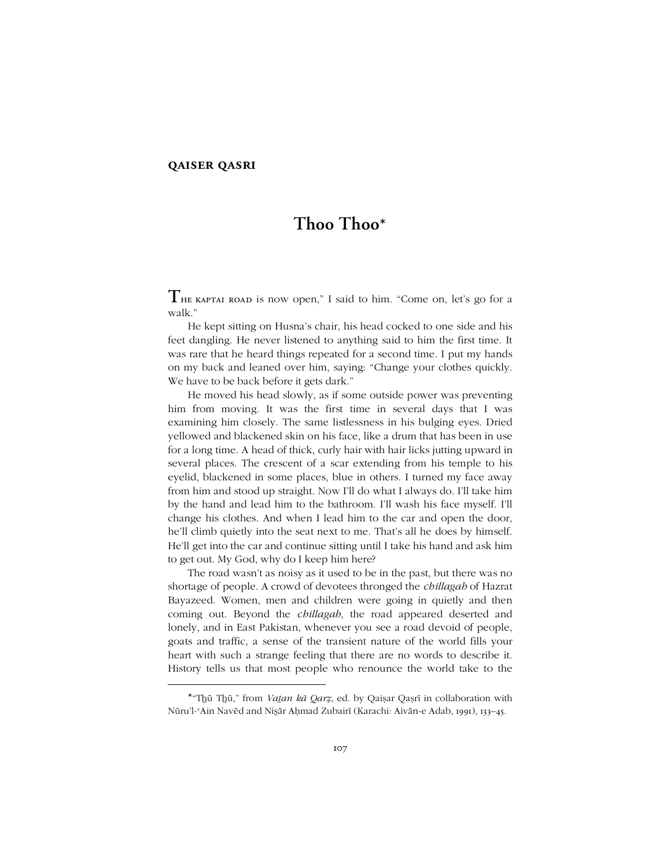## **qaiser qasri**

-

# **Thoo Thoo\***

**T**HE KAPTAI ROAD is now open," I said to him. "Come on, let's go for a walk.'

He kept sitting on Husna's chair, his head cocked to one side and his feet dangling. He never listened to anything said to him the first time. It was rare that he heard things repeated for a second time. I put my hands on my back and leaned over him, saying: "Change your clothes quickly. We have to be back before it gets dark."

He moved his head slowly, as if some outside power was preventing him from moving. It was the first time in several days that I was examining him closely. The same listlessness in his bulging eyes. Dried yellowed and blackened skin on his face, like a drum that has been in use for a long time. A head of thick, curly hair with hair licks jutting upward in several places. The crescent of a scar extending from his temple to his eyelid, blackened in some places, blue in others. I turned my face away from him and stood up straight. Now Iíll do what I always do. Iíll take him by the hand and lead him to the bathroom. I'll wash his face myself. I'll change his clothes. And when I lead him to the car and open the door, he'll climb quietly into the seat next to me. That's all he does by himself. He'll get into the car and continue sitting until I take his hand and ask him to get out. My God, why do I keep him here?

The road wasn't as noisy as it used to be in the past, but there was no shortage of people. A crowd of devotees thronged the *chillagah* of Hazrat Bayazeed. Women, men and children were going in quietly and then coming out. Beyond the *chillagah*, the road appeared deserted and lonely, and in East Pakistan, whenever you see a road devoid of people, goats and traffic, a sense of the transient nature of the world fills your heart with such a strange feeling that there are no words to describe it. History tells us that most people who renounce the world take to the

<sup>\*</sup>ìTẖū Tẖū,î from *Vaan kā Qarẓ*, ed. by Qaiṣar Qaṣrī in collaboration with Nūru'l-'Ain Navēd and Nisār Aḥmad Zubairī (Karachi: Aivān-e Adab, 1991), 133-45.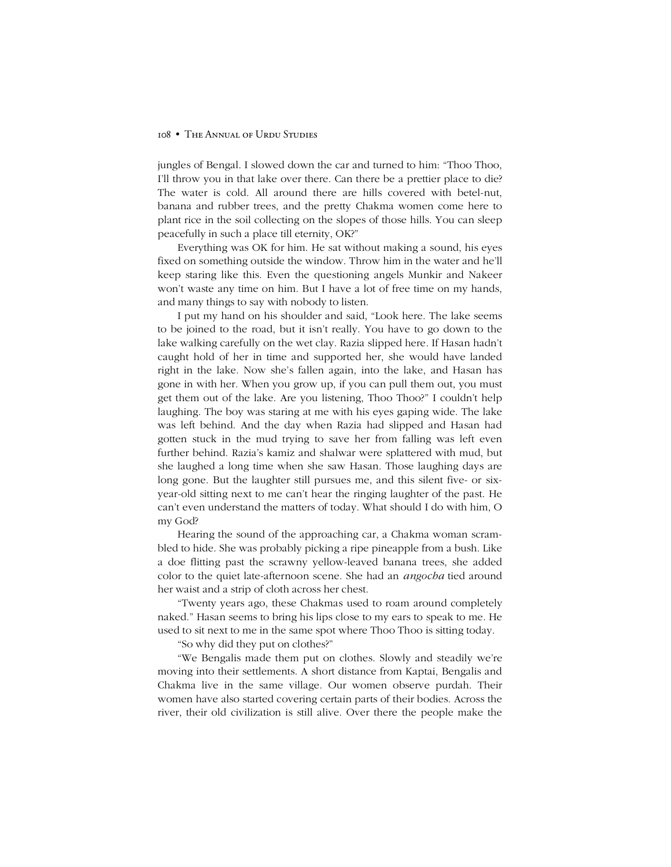jungles of Bengal. I slowed down the car and turned to him: "Thoo Thoo, I'll throw you in that lake over there. Can there be a prettier place to die? The water is cold. All around there are hills covered with betel-nut, banana and rubber trees, and the pretty Chakma women come here to plant rice in the soil collecting on the slopes of those hills. You can sleep peacefully in such a place till eternity, OK?"

Everything was OK for him. He sat without making a sound, his eyes fixed on something outside the window. Throw him in the water and he'll keep staring like this. Even the questioning angels Munkir and Nakeer won't waste any time on him. But I have a lot of free time on my hands, and many things to say with nobody to listen.

I put my hand on his shoulder and said, "Look here. The lake seems to be joined to the road, but it isn't really. You have to go down to the lake walking carefully on the wet clay. Razia slipped here. If Hasan hadn't caught hold of her in time and supported her, she would have landed right in the lake. Now she's fallen again, into the lake, and Hasan has gone in with her. When you grow up, if you can pull them out, you must get them out of the lake. Are you listening, Thoo Thoo?" I couldn't help laughing. The boy was staring at me with his eyes gaping wide. The lake was left behind. And the day when Razia had slipped and Hasan had gotten stuck in the mud trying to save her from falling was left even further behind. Raziaís kamiz and shalwar were splattered with mud, but she laughed a long time when she saw Hasan. Those laughing days are long gone. But the laughter still pursues me, and this silent five- or sixyear-old sitting next to me canít hear the ringing laughter of the past. He canít even understand the matters of today. What should I do with him, O my God?

Hearing the sound of the approaching car, a Chakma woman scrambled to hide. She was probably picking a ripe pineapple from a bush. Like a doe flitting past the scrawny yellow-leaved banana trees, she added color to the quiet late-afternoon scene. She had an *angocha* tied around her waist and a strip of cloth across her chest.

ìTwenty years ago, these Chakmas used to roam around completely naked.î Hasan seems to bring his lips close to my ears to speak to me. He used to sit next to me in the same spot where Thoo Thoo is sitting today.

"So why did they put on clothes?"

"We Bengalis made them put on clothes. Slowly and steadily we're moving into their settlements. A short distance from Kaptai, Bengalis and Chakma live in the same village. Our women observe purdah. Their women have also started covering certain parts of their bodies. Across the river, their old civilization is still alive. Over there the people make the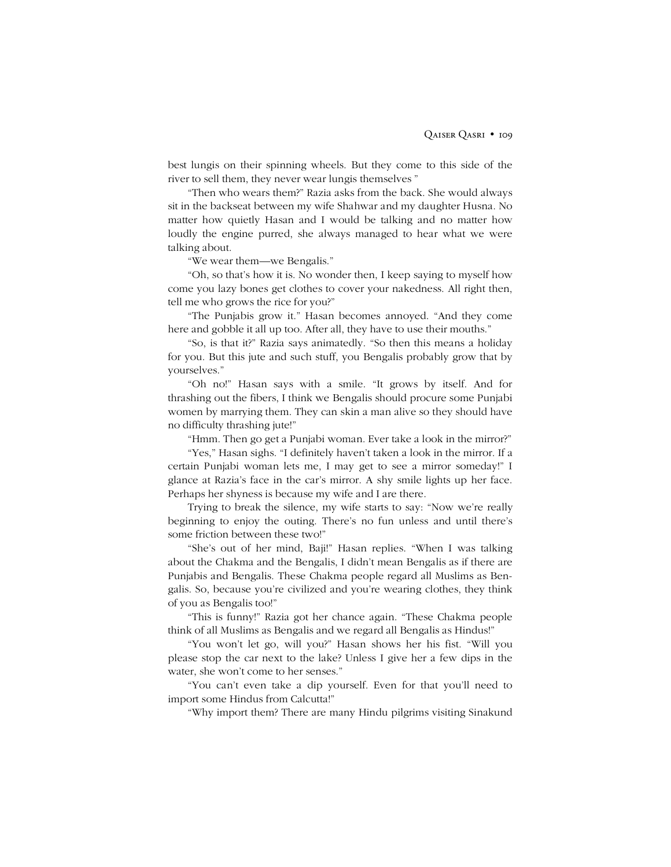best lungis on their spinning wheels. But they come to this side of the river to sell them, they never wear lungis themselves "

ìThen who wears them?î Razia asks from the back. She would always sit in the backseat between my wife Shahwar and my daughter Husna. No matter how quietly Hasan and I would be talking and no matter how loudly the engine purred, she always managed to hear what we were talking about.

"We wear them—we Bengalis."

ìOh, so thatís how it is. No wonder then, I keep saying to myself how come you lazy bones get clothes to cover your nakedness. All right then, tell me who grows the rice for you?"

"The Punjabis grow it." Hasan becomes annoyed. "And they come here and gobble it all up too. After all, they have to use their mouths."

"So, is that it?" Razia says animatedly. "So then this means a holiday for you. But this jute and such stuff, you Bengalis probably grow that by vourselves."

"Oh no!" Hasan says with a smile. "It grows by itself. And for thrashing out the fibers, I think we Bengalis should procure some Punjabi women by marrying them. They can skin a man alive so they should have no difficulty thrashing jute!î

"Hmm. Then go get a Punjabi woman. Ever take a look in the mirror?"

"Yes," Hasan sighs. "I definitely haven't taken a look in the mirror. If a certain Punjabi woman lets me, I may get to see a mirror someday!î I glance at Razia's face in the car's mirror. A shy smile lights up her face. Perhaps her shyness is because my wife and I are there.

Trying to break the silence, my wife starts to say: "Now we're really beginning to enjoy the outing. There's no fun unless and until there's some friction between these two!"

"She's out of her mind, Baji!" Hasan replies. "When I was talking about the Chakma and the Bengalis, I didn't mean Bengalis as if there are Punjabis and Bengalis. These Chakma people regard all Muslims as Bengalis. So, because you're civilized and you're wearing clothes, they think of you as Bengalis too!î

"This is funny!" Razia got her chance again. "These Chakma people think of all Muslims as Bengalis and we regard all Bengalis as Hindus!"

"You won't let go, will you?" Hasan shows her his fist. "Will you please stop the car next to the lake? Unless I give her a few dips in the water, she won't come to her senses."

"You can't even take a dip yourself. Even for that you'll need to import some Hindus from Calcutta!"

ìWhy import them? There are many Hindu pilgrims visiting Sinakund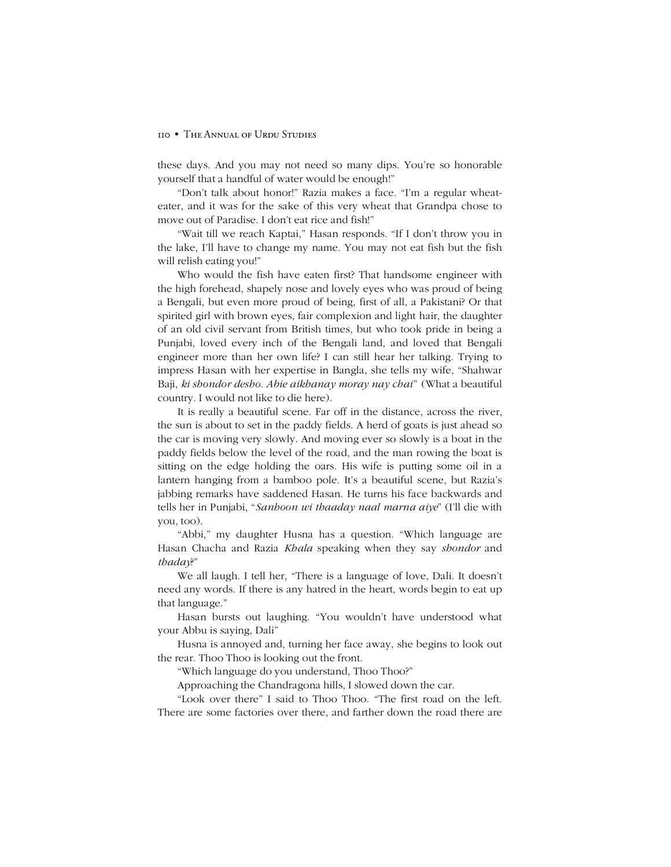these days. And you may not need so many dips. Youíre so honorable yourself that a handful of water would be enough!"

"Don't talk about honor!" Razia makes a face. "I'm a regular wheateater, and it was for the sake of this very wheat that Grandpa chose to move out of Paradise. I don't eat rice and fish!"

"Wait till we reach Kaptai," Hasan responds. "If I don't throw you in the lake, I'll have to change my name. You may not eat fish but the fish will relish eating you!"

Who would the fish have eaten first? That handsome engineer with the high forehead, shapely nose and lovely eyes who was proud of being a Bengali, but even more proud of being, first of all, a Pakistani? Or that spirited girl with brown eyes, fair complexion and light hair, the daughter of an old civil servant from British times, but who took pride in being a Punjabi, loved every inch of the Bengali land, and loved that Bengali engineer more than her own life? I can still hear her talking. Trying to impress Hasan with her expertise in Bangla, she tells my wife, "Shahwar Baji, *ki shondor desho. Abie aikhanay moray nay chai*î (What a beautiful country. I would not like to die here).

It is really a beautiful scene. Far off in the distance, across the river, the sun is about to set in the paddy fields. A herd of goats is just ahead so the car is moving very slowly. And moving ever so slowly is a boat in the paddy fields below the level of the road, and the man rowing the boat is sitting on the edge holding the oars. His wife is putting some oil in a lantern hanging from a bamboo pole. It's a beautiful scene, but Razia's jabbing remarks have saddened Hasan. He turns his face backwards and tells her in Punjabi, ì*Sanhoon wi thaaday naal marna aiye*î (Iíll die with you, too).

"Abbi," my daughter Husna has a question. "Which language are Hasan Chacha and Razia *Khala* speaking when they say *shondor* and *thaday*?î

We all laugh. I tell her, "There is a language of love, Dali. It doesn't need any words. If there is any hatred in the heart, words begin to eat up that language."

Hasan bursts out laughing. "You wouldn't have understood what your Abbu is saying, Daliî

Husna is annoyed and, turning her face away, she begins to look out the rear. Thoo Thoo is looking out the front.

"Which language do you understand, Thoo Thoo?"

Approaching the Chandragona hills, I slowed down the car.

"Look over there" I said to Thoo Thoo. "The first road on the left. There are some factories over there, and farther down the road there are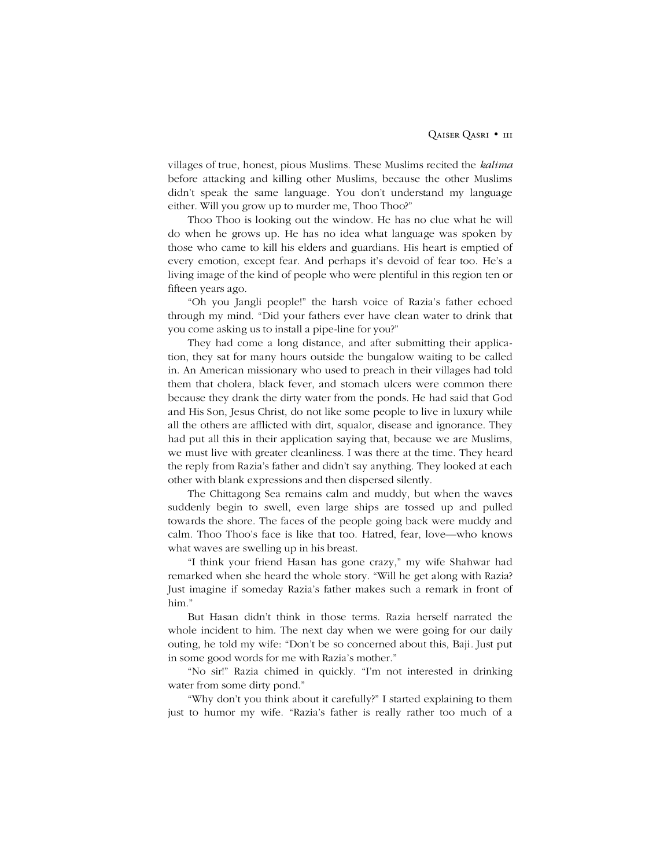villages of true, honest, pious Muslims. These Muslims recited the *kalima* before attacking and killing other Muslims, because the other Muslims didn't speak the same language. You don't understand my language either. Will you grow up to murder me, Thoo Thoo?"

Thoo Thoo is looking out the window. He has no clue what he will do when he grows up. He has no idea what language was spoken by those who came to kill his elders and guardians. His heart is emptied of every emotion, except fear. And perhaps it's devoid of fear too. He's a living image of the kind of people who were plentiful in this region ten or fifteen years ago.

ìOh you Jangli people!î the harsh voice of Raziaís father echoed through my mind. "Did your fathers ever have clean water to drink that you come asking us to install a pipe-line for you?"

They had come a long distance, and after submitting their application, they sat for many hours outside the bungalow waiting to be called in. An American missionary who used to preach in their villages had told them that cholera, black fever, and stomach ulcers were common there because they drank the dirty water from the ponds. He had said that God and His Son, Jesus Christ, do not like some people to live in luxury while all the others are afflicted with dirt, squalor, disease and ignorance. They had put all this in their application saying that, because we are Muslims, we must live with greater cleanliness. I was there at the time. They heard the reply from Razia's father and didn't say anything. They looked at each other with blank expressions and then dispersed silently.

The Chittagong Sea remains calm and muddy, but when the waves suddenly begin to swell, even large ships are tossed up and pulled towards the shore. The faces of the people going back were muddy and calm. Thoo Thoo's face is like that too. Hatred, fear, love—who knows what waves are swelling up in his breast.

"I think your friend Hasan has gone crazy," my wife Shahwar had remarked when she heard the whole story. "Will he get along with Razia? Just imagine if someday Raziaís father makes such a remark in front of him."

But Hasan didnít think in those terms. Razia herself narrated the whole incident to him. The next day when we were going for our daily outing, he told my wife: "Don't be so concerned about this, Baji. Just put in some good words for me with Razia's mother."

"No sir!" Razia chimed in quickly. "I'm not interested in drinking water from some dirty pond."

"Why don't you think about it carefully?" I started explaining to them just to humor my wife. "Razia's father is really rather too much of a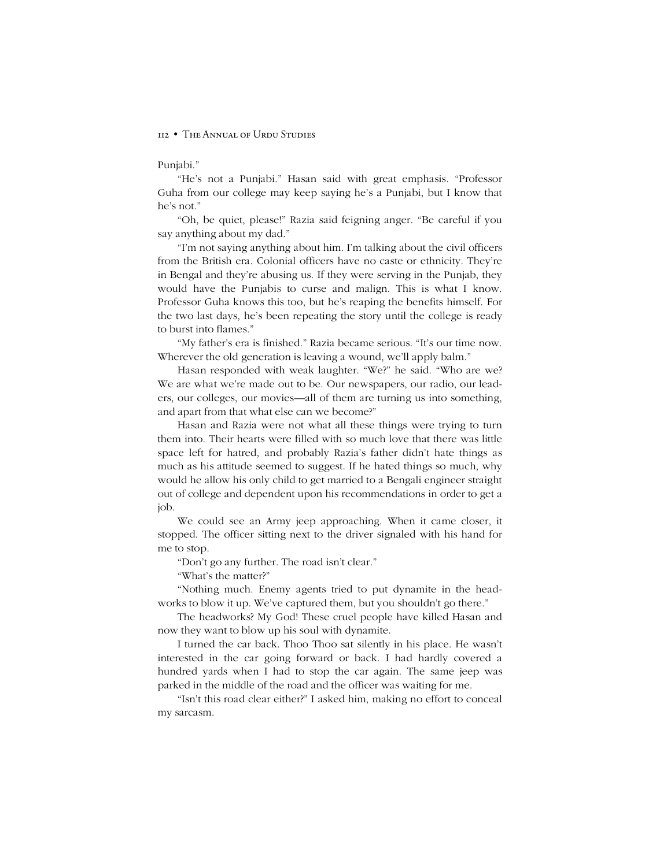#### Punjabi."

"He's not a Punjabi." Hasan said with great emphasis. "Professor Guha from our college may keep saying he's a Punjabi, but I know that he's not."

"Oh, be quiet, please!" Razia said feigning anger. "Be careful if you say anything about my dad."

"I'm not saying anything about him. I'm talking about the civil officers from the British era. Colonial officers have no caste or ethnicity. They're in Bengal and they're abusing us. If they were serving in the Punjab, they would have the Punjabis to curse and malign. This is what I know. Professor Guha knows this too, but he's reaping the benefits himself. For the two last days, he's been repeating the story until the college is ready to burst into flames."

"My father's era is finished." Razia became serious. "It's our time now. Wherever the old generation is leaving a wound, we'll apply balm."

Hasan responded with weak laughter. "We?" he said. "Who are we? We are what we're made out to be. Our newspapers, our radio, our leaders, our colleges, our movies—all of them are turning us into something, and apart from that what else can we become?"

Hasan and Razia were not what all these things were trying to turn them into. Their hearts were filled with so much love that there was little space left for hatred, and probably Razia's father didn't hate things as much as his attitude seemed to suggest. If he hated things so much, why would he allow his only child to get married to a Bengali engineer straight out of college and dependent upon his recommendations in order to get a job.

We could see an Army jeep approaching. When it came closer, it stopped. The officer sitting next to the driver signaled with his hand for me to stop.

"Don't go any further. The road isn't clear."

"What's the matter?"

"Nothing much. Enemy agents tried to put dynamite in the headworks to blow it up. We've captured them, but you shouldn't go there."

The headworks? My God! These cruel people have killed Hasan and now they want to blow up his soul with dynamite.

I turned the car back. Thoo Thoo sat silently in his place. He wasnít interested in the car going forward or back. I had hardly covered a hundred yards when I had to stop the car again. The same jeep was parked in the middle of the road and the officer was waiting for me.

"Isn't this road clear either?" I asked him, making no effort to conceal my sarcasm.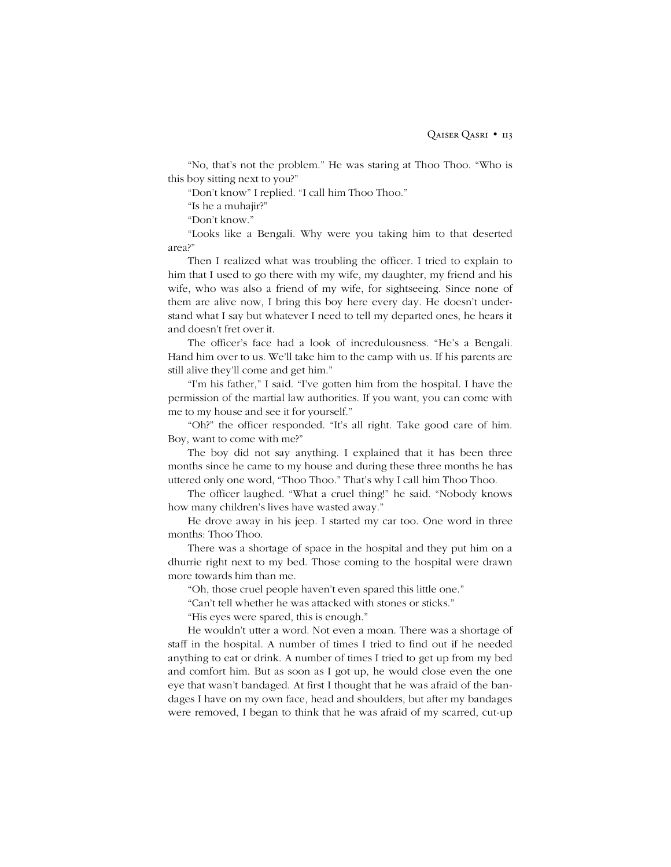"No, that's not the problem." He was staring at Thoo Thoo. "Who is this boy sitting next to you?"

"Don't know" I replied. "I call him Thoo Thoo."

"Is he a muhajir?"

"Don't know."

ìLooks like a Bengali. Why were you taking him to that deserted area?"

Then I realized what was troubling the officer. I tried to explain to him that I used to go there with my wife, my daughter, my friend and his wife, who was also a friend of my wife, for sightseeing. Since none of them are alive now, I bring this boy here every day. He doesn't understand what I say but whatever I need to tell my departed ones, he hears it and doesn't fret over it.

The officer's face had a look of incredulousness. "He's a Bengali. Hand him over to us. We'll take him to the camp with us. If his parents are still alive they'll come and get him."

"I'm his father," I said. "I've gotten him from the hospital. I have the permission of the martial law authorities. If you want, you can come with me to my house and see it for yourself."

"Oh?" the officer responded. "It's all right. Take good care of him. Boy, want to come with me?"

The boy did not say anything. I explained that it has been three months since he came to my house and during these three months he has uttered only one word, "Thoo Thoo." That's why I call him Thoo Thoo.

The officer laughed. "What a cruel thing!" he said. "Nobody knows how many children's lives have wasted away."

He drove away in his jeep. I started my car too. One word in three months: Thoo Thoo.

There was a shortage of space in the hospital and they put him on a dhurrie right next to my bed. Those coming to the hospital were drawn more towards him than me.

"Oh, those cruel people haven't even spared this little one."

"Can't tell whether he was attacked with stones or sticks."

"His eyes were spared, this is enough."

He wouldn't utter a word. Not even a moan. There was a shortage of staff in the hospital. A number of times I tried to find out if he needed anything to eat or drink. A number of times I tried to get up from my bed and comfort him. But as soon as I got up, he would close even the one eye that wasn't bandaged. At first I thought that he was afraid of the bandages I have on my own face, head and shoulders, but after my bandages were removed, I began to think that he was afraid of my scarred, cut-up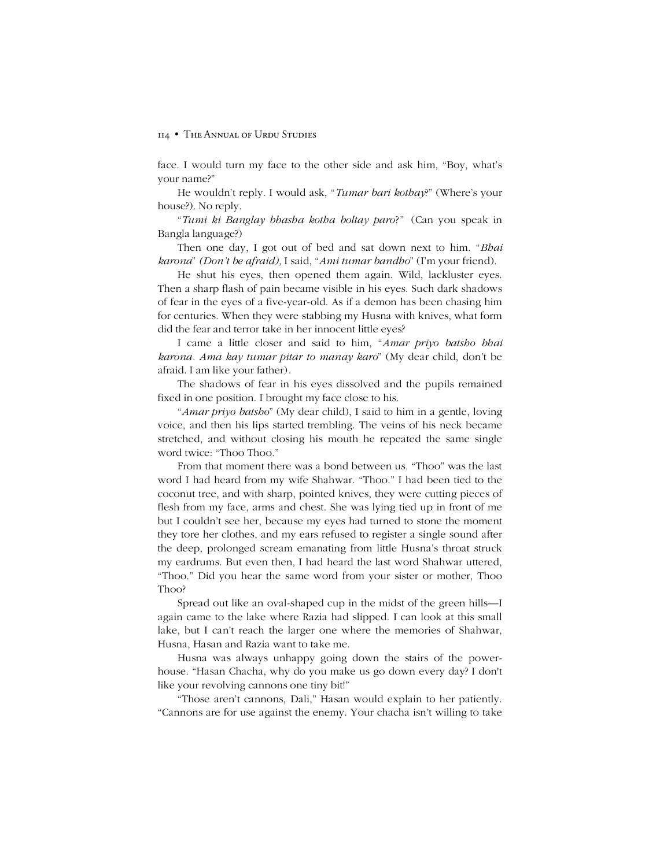face. I would turn my face to the other side and ask him, "Boy, what's your name?"

He wouldn't reply. I would ask, "*Tumar bari kothay?*" (Where's your house?). No reply.

ì*Tumi ki Banglay bhasha kotha boltay paro*?î (Can you speak in Bangla language?)

Then one day, I got out of bed and sat down next to him. *<i><sup><i>Bhai*</sup></sup> *karona*" *(Don't be afraid)*, I said, "Ami *tumar bandho*" (I'm your friend).

He shut his eyes, then opened them again. Wild, lackluster eyes. Then a sharp flash of pain became visible in his eyes. Such dark shadows of fear in the eyes of a five-year-old. As if a demon has been chasing him for centuries. When they were stabbing my Husna with knives, what form did the fear and terror take in her innocent little eyes?

I came a little closer and said to him, "Amar priyo batsho bhai *karona. Ama kay tumar pitar to manay karo*î (My dear child, donít be afraid. I am like your father)*.*

The shadows of fear in his eyes dissolved and the pupils remained fixed in one position. I brought my face close to his.

ì*Amar priyo batsho*î (My dear child), I said to him in a gentle, loving voice, and then his lips started trembling. The veins of his neck became stretched, and without closing his mouth he repeated the same single word twice: "Thoo Thoo."

From that moment there was a bond between us. "Thoo" was the last word I had heard from my wife Shahwar. "Thoo." I had been tied to the coconut tree, and with sharp, pointed knives, they were cutting pieces of flesh from my face, arms and chest. She was lying tied up in front of me but I couldn't see her, because my eyes had turned to stone the moment they tore her clothes, and my ears refused to register a single sound after the deep, prolonged scream emanating from little Husna's throat struck my eardrums. But even then, I had heard the last word Shahwar uttered, ìThoo.î Did you hear the same word from your sister or mother, Thoo Thoo?

Spread out like an oval-shaped cup in the midst of the green hills—I again came to the lake where Razia had slipped. I can look at this small lake, but I can't reach the larger one where the memories of Shahwar, Husna, Hasan and Razia want to take me.

Husna was always unhappy going down the stairs of the powerhouse. "Hasan Chacha, why do you make us go down every day? I don't like your revolving cannons one tiny bit!"

ìThose arenít cannons, Dali,î Hasan would explain to her patiently. ìCannons are for use against the enemy. Your chacha isnít willing to take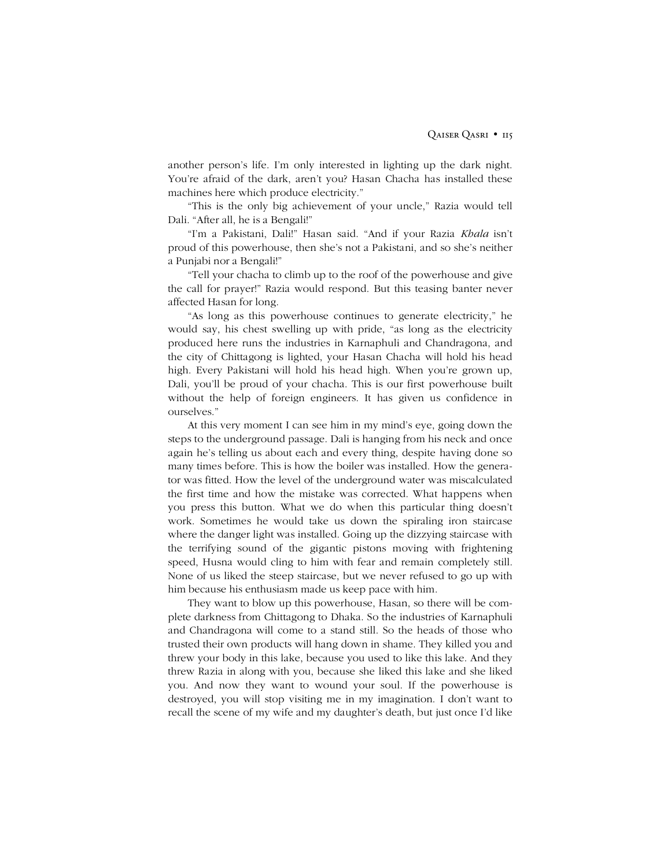another person's life. I'm only interested in lighting up the dark night. You're afraid of the dark, aren't you? Hasan Chacha has installed these machines here which produce electricity."

ìThis is the only big achievement of your uncle,î Razia would tell Dali. "After all, he is a Bengali!"

"I'm a Pakistani, Dali!" Hasan said. "And if your Razia *Khala* isn't proud of this powerhouse, then she's not a Pakistani, and so she's neither a Punjabi nor a Bengali!"

ìTell your chacha to climb up to the roof of the powerhouse and give the call for prayer!î Razia would respond. But this teasing banter never affected Hasan for long.

"As long as this powerhouse continues to generate electricity," he would say, his chest swelling up with pride, "as long as the electricity produced here runs the industries in Karnaphuli and Chandragona, and the city of Chittagong is lighted, your Hasan Chacha will hold his head high. Every Pakistani will hold his head high. When you're grown up, Dali, youíll be proud of your chacha. This is our first powerhouse built without the help of foreign engineers. It has given us confidence in ourselves."

At this very moment I can see him in my mind's eye, going down the steps to the underground passage. Dali is hanging from his neck and once again he's telling us about each and every thing, despite having done so many times before. This is how the boiler was installed. How the generator was fitted. How the level of the underground water was miscalculated the first time and how the mistake was corrected. What happens when you press this button. What we do when this particular thing doesn't work. Sometimes he would take us down the spiraling iron staircase where the danger light was installed. Going up the dizzying staircase with the terrifying sound of the gigantic pistons moving with frightening speed, Husna would cling to him with fear and remain completely still. None of us liked the steep staircase, but we never refused to go up with him because his enthusiasm made us keep pace with him.

They want to blow up this powerhouse, Hasan, so there will be complete darkness from Chittagong to Dhaka. So the industries of Karnaphuli and Chandragona will come to a stand still. So the heads of those who trusted their own products will hang down in shame. They killed you and threw your body in this lake, because you used to like this lake. And they threw Razia in along with you, because she liked this lake and she liked you. And now they want to wound your soul. If the powerhouse is destroyed, you will stop visiting me in my imagination. I don't want to recall the scene of my wife and my daughter's death, but just once I'd like